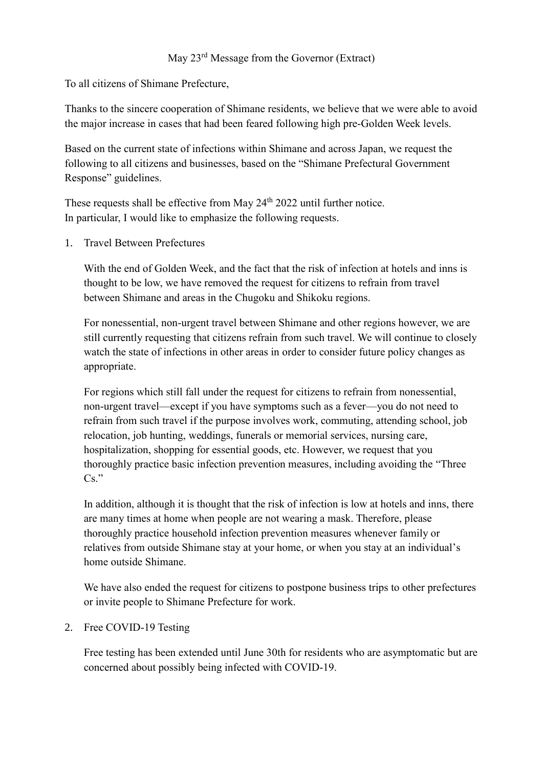## May 23rd Message from the Governor (Extract)

To all citizens of Shimane Prefecture,

Thanks to the sincere cooperation of Shimane residents, we believe that we were able to avoid the major increase in cases that had been feared following high pre-Golden Week levels.

Based on the current state of infections within Shimane and across Japan, we request the following to all citizens and businesses, based on the "Shimane Prefectural Government Response" guidelines.

These requests shall be effective from May 24<sup>th</sup> 2022 until further notice. In particular, I would like to emphasize the following requests.

1. Travel Between Prefectures

With the end of Golden Week, and the fact that the risk of infection at hotels and inns is thought to be low, we have removed the request for citizens to refrain from travel between Shimane and areas in the Chugoku and Shikoku regions.

For nonessential, non-urgent travel between Shimane and other regions however, we are still currently requesting that citizens refrain from such travel. We will continue to closely watch the state of infections in other areas in order to consider future policy changes as appropriate.

For regions which still fall under the request for citizens to refrain from nonessential, non-urgent travel—except if you have symptoms such as a fever—you do not need to refrain from such travel if the purpose involves work, commuting, attending school, job relocation, job hunting, weddings, funerals or memorial services, nursing care, hospitalization, shopping for essential goods, etc. However, we request that you thoroughly practice basic infection prevention measures, including avoiding the "Three  $Cs.$ "

In addition, although it is thought that the risk of infection is low at hotels and inns, there are many times at home when people are not wearing a mask. Therefore, please thoroughly practice household infection prevention measures whenever family or relatives from outside Shimane stay at your home, or when you stay at an individual's home outside Shimane.

We have also ended the request for citizens to postpone business trips to other prefectures or invite people to Shimane Prefecture for work.

## 2. Free COVID-19 Testing

Free testing has been extended until June 30th for residents who are asymptomatic but are concerned about possibly being infected with COVID-19.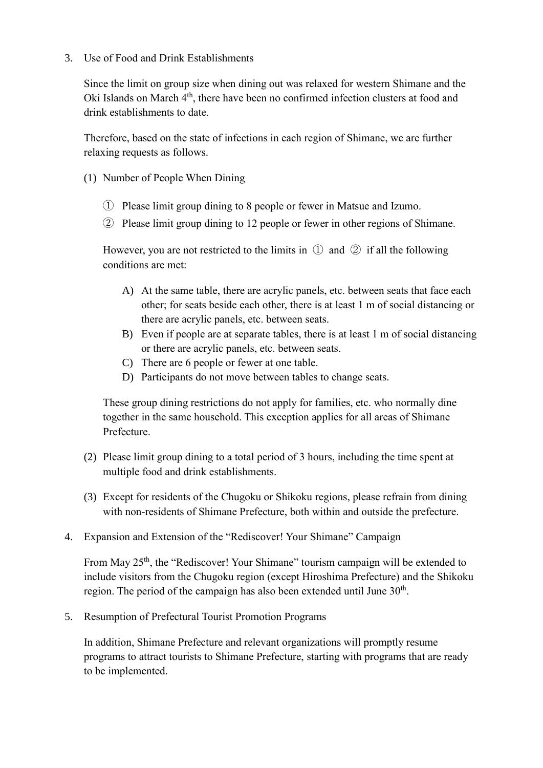3. Use of Food and Drink Establishments

Since the limit on group size when dining out was relaxed for western Shimane and the Oki Islands on March 4<sup>th</sup>, there have been no confirmed infection clusters at food and drink establishments to date.

Therefore, based on the state of infections in each region of Shimane, we are further relaxing requests as follows.

- (1) Number of People When Dining
	- ① Please limit group dining to 8 people or fewer in Matsue and Izumo.
	- ② Please limit group dining to 12 people or fewer in other regions of Shimane.

However, you are not restricted to the limits in  $\mathbb D$  and  $\mathbb Q$  if all the following conditions are met:

- A) At the same table, there are acrylic panels, etc. between seats that face each other; for seats beside each other, there is at least 1 m of social distancing or there are acrylic panels, etc. between seats.
- B) Even if people are at separate tables, there is at least 1 m of social distancing or there are acrylic panels, etc. between seats.
- C) There are 6 people or fewer at one table.
- D) Participants do not move between tables to change seats.

These group dining restrictions do not apply for families, etc. who normally dine together in the same household. This exception applies for all areas of Shimane Prefecture.

- (2) Please limit group dining to a total period of 3 hours, including the time spent at multiple food and drink establishments.
- (3) Except for residents of the Chugoku or Shikoku regions, please refrain from dining with non-residents of Shimane Prefecture, both within and outside the prefecture.
- 4. Expansion and Extension of the "Rediscover! Your Shimane" Campaign

From May 25<sup>th</sup>, the "Rediscover! Your Shimane" tourism campaign will be extended to include visitors from the Chugoku region (except Hiroshima Prefecture) and the Shikoku region. The period of the campaign has also been extended until June  $30<sup>th</sup>$ .

5. Resumption of Prefectural Tourist Promotion Programs

In addition, Shimane Prefecture and relevant organizations will promptly resume programs to attract tourists to Shimane Prefecture, starting with programs that are ready to be implemented.